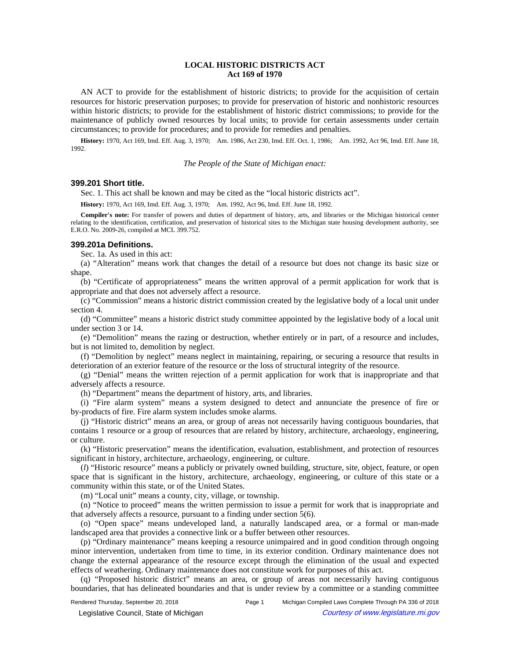# **LOCAL HISTORIC DISTRICTS ACT Act 169 of 1970**

AN ACT to provide for the establishment of historic districts; to provide for the acquisition of certain resources for historic preservation purposes; to provide for preservation of historic and nonhistoric resources within historic districts; to provide for the establishment of historic district commissions; to provide for the maintenance of publicly owned resources by local units; to provide for certain assessments under certain circumstances; to provide for procedures; and to provide for remedies and penalties.

**History:** 1970, Act 169, Imd. Eff. Aug. 3, 1970;—Am. 1986, Act 230, Imd. Eff. Oct. 1, 1986;—Am. 1992, Act 96, Imd. Eff. June 18, 1992.

*The People of the State of Michigan enact:*

### **399.201 Short title.**

Sec. 1. This act shall be known and may be cited as the "local historic districts act".

History: 1970, Act 169, Imd. Eff. Aug. 3, 1970;—Am. 1992, Act 96, Imd. Eff. June 18, 1992.

**Compiler's note:** For transfer of powers and duties of department of history, arts, and libraries or the Michigan historical center relating to the identification, certification, and preservation of historical sites to the Michigan state housing development authority, see E.R.O. No. 2009-26, compiled at MCL 399.752.

### **399.201a Definitions.**

Sec. 1a. As used in this act:

(a) "Alteration" means work that changes the detail of a resource but does not change its basic size or shape.

(b) "Certificate of appropriateness" means the written approval of a permit application for work that is appropriate and that does not adversely affect a resource.

(c) "Commission" means a historic district commission created by the legislative body of a local unit under section 4.

(d) "Committee" means a historic district study committee appointed by the legislative body of a local unit under section 3 or 14.

(e) "Demolition" means the razing or destruction, whether entirely or in part, of a resource and includes, but is not limited to, demolition by neglect.

(f) "Demolition by neglect" means neglect in maintaining, repairing, or securing a resource that results in deterioration of an exterior feature of the resource or the loss of structural integrity of the resource.

(g) "Denial" means the written rejection of a permit application for work that is inappropriate and that adversely affects a resource.

(h) "Department" means the department of history, arts, and libraries.

(i) "Fire alarm system" means a system designed to detect and annunciate the presence of fire or by-products of fire. Fire alarm system includes smoke alarms.

(j) "Historic district" means an area, or group of areas not necessarily having contiguous boundaries, that contains 1 resource or a group of resources that are related by history, architecture, archaeology, engineering, or culture.

(k) "Historic preservation" means the identification, evaluation, establishment, and protection of resources significant in history, architecture, archaeology, engineering, or culture.

(*l*) "Historic resource" means a publicly or privately owned building, structure, site, object, feature, or open space that is significant in the history, architecture, archaeology, engineering, or culture of this state or a community within this state, or of the United States.

(m) "Local unit" means a county, city, village, or township.

(n) "Notice to proceed" means the written permission to issue a permit for work that is inappropriate and that adversely affects a resource, pursuant to a finding under section 5(6).

(o) "Open space" means undeveloped land, a naturally landscaped area, or a formal or man-made landscaped area that provides a connective link or a buffer between other resources.

(p) "Ordinary maintenance" means keeping a resource unimpaired and in good condition through ongoing minor intervention, undertaken from time to time, in its exterior condition. Ordinary maintenance does not change the external appearance of the resource except through the elimination of the usual and expected effects of weathering. Ordinary maintenance does not constitute work for purposes of this act.

(q) "Proposed historic district" means an area, or group of areas not necessarily having contiguous boundaries, that has delineated boundaries and that is under review by a committee or a standing committee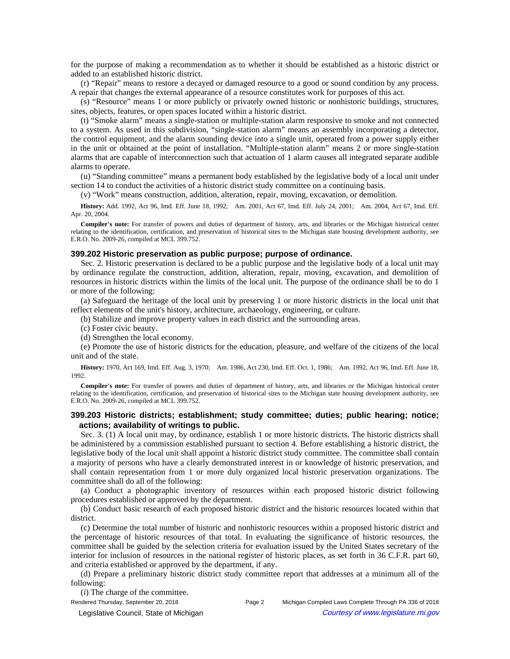for the purpose of making a recommendation as to whether it should be established as a historic district or added to an established historic district.

(r) "Repair" means to restore a decayed or damaged resource to a good or sound condition by any process. A repair that changes the external appearance of a resource constitutes work for purposes of this act.

(s) "Resource" means 1 or more publicly or privately owned historic or nonhistoric buildings, structures, sites, objects, features, or open spaces located within a historic district.

(t) "Smoke alarm" means a single-station or multiple-station alarm responsive to smoke and not connected to a system. As used in this subdivision, "single-station alarm" means an assembly incorporating a detector, the control equipment, and the alarm sounding device into a single unit, operated from a power supply either in the unit or obtained at the point of installation. "Multiple-station alarm" means 2 or more single-station alarms that are capable of interconnection such that actuation of 1 alarm causes all integrated separate audible alarms to operate.

(u) "Standing committee" means a permanent body established by the legislative body of a local unit under section 14 to conduct the activities of a historic district study committee on a continuing basis.

(v) "Work" means construction, addition, alteration, repair, moving, excavation, or demolition.

History: Add. 1992, Act 96, Imd. Eff. June 18, 1992;--Am. 2001, Act 67, Imd. Eff. July 24, 2001;--Am. 2004, Act 67, Imd. Eff. Apr. 20, 2004.

**Compiler's note:** For transfer of powers and duties of department of history, arts, and libraries or the Michigan historical center relating to the identification, certification, and preservation of historical sites to the Michigan state housing development authority, see E.R.O. No. 2009-26, compiled at MCL 399.752.

### **399.202 Historic preservation as public purpose; purpose of ordinance.**

Sec. 2. Historic preservation is declared to be a public purpose and the legislative body of a local unit may by ordinance regulate the construction, addition, alteration, repair, moving, excavation, and demolition of resources in historic districts within the limits of the local unit. The purpose of the ordinance shall be to do 1 or more of the following:

(a) Safeguard the heritage of the local unit by preserving 1 or more historic districts in the local unit that reflect elements of the unit's history, architecture, archaeology, engineering, or culture.

(b) Stabilize and improve property values in each district and the surrounding areas.

- (c) Foster civic beauty.
- (d) Strengthen the local economy.

(e) Promote the use of historic districts for the education, pleasure, and welfare of the citizens of the local unit and of the state.

History: 1970, Act 169, Imd. Eff. Aug. 3, 1970;—Am. 1986, Act 230, Imd. Eff. Oct. 1, 1986;—Am. 1992, Act 96, Imd. Eff. June 18, 1992.

**Compiler's note:** For transfer of powers and duties of department of history, arts, and libraries or the Michigan historical center relating to the identification, certification, and preservation of historical sites to the Michigan state housing development authority, see E.R.O. No. 2009-26, compiled at MCL 399.752.

# **399.203 Historic districts; establishment; study committee; duties; public hearing; notice; actions; availability of writings to public.**

Sec. 3. (1) A local unit may, by ordinance, establish 1 or more historic districts. The historic districts shall be administered by a commission established pursuant to section 4. Before establishing a historic district, the legislative body of the local unit shall appoint a historic district study committee. The committee shall contain a majority of persons who have a clearly demonstrated interest in or knowledge of historic preservation, and shall contain representation from 1 or more duly organized local historic preservation organizations. The committee shall do all of the following:

(a) Conduct a photographic inventory of resources within each proposed historic district following procedures established or approved by the department.

(b) Conduct basic research of each proposed historic district and the historic resources located within that district.

(c) Determine the total number of historic and nonhistoric resources within a proposed historic district and the percentage of historic resources of that total. In evaluating the significance of historic resources, the committee shall be guided by the selection criteria for evaluation issued by the United States secretary of the interior for inclusion of resources in the national register of historic places, as set forth in 36 C.F.R. part 60, and criteria established or approved by the department, if any.

(d) Prepare a preliminary historic district study committee report that addresses at a minimum all of the following:

(*i*) The charge of the committee.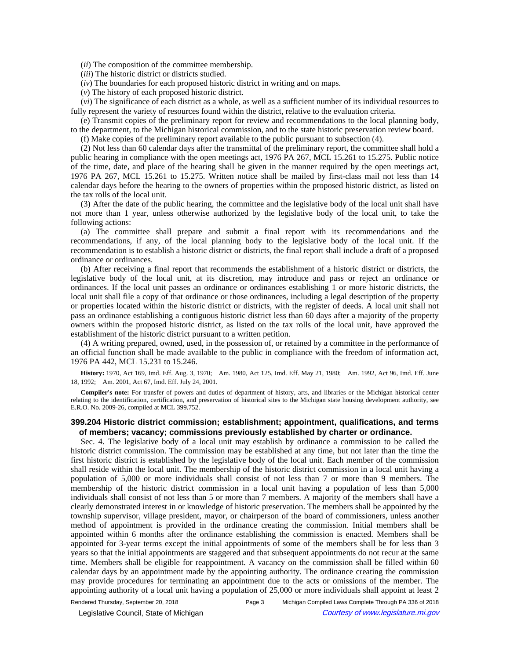(*ii*) The composition of the committee membership.

(*iii*) The historic district or districts studied.

(*iv*) The boundaries for each proposed historic district in writing and on maps.

(*v*) The history of each proposed historic district.

(*vi*) The significance of each district as a whole, as well as a sufficient number of its individual resources to fully represent the variety of resources found within the district, relative to the evaluation criteria.

(e) Transmit copies of the preliminary report for review and recommendations to the local planning body, to the department, to the Michigan historical commission, and to the state historic preservation review board.

(f) Make copies of the preliminary report available to the public pursuant to subsection (4).

(2) Not less than 60 calendar days after the transmittal of the preliminary report, the committee shall hold a public hearing in compliance with the open meetings act, 1976 PA 267, MCL 15.261 to 15.275. Public notice of the time, date, and place of the hearing shall be given in the manner required by the open meetings act, 1976 PA 267, MCL 15.261 to 15.275. Written notice shall be mailed by first-class mail not less than 14 calendar days before the hearing to the owners of properties within the proposed historic district, as listed on the tax rolls of the local unit.

(3) After the date of the public hearing, the committee and the legislative body of the local unit shall have not more than 1 year, unless otherwise authorized by the legislative body of the local unit, to take the following actions:

(a) The committee shall prepare and submit a final report with its recommendations and the recommendations, if any, of the local planning body to the legislative body of the local unit. If the recommendation is to establish a historic district or districts, the final report shall include a draft of a proposed ordinance or ordinances.

(b) After receiving a final report that recommends the establishment of a historic district or districts, the legislative body of the local unit, at its discretion, may introduce and pass or reject an ordinance or ordinances. If the local unit passes an ordinance or ordinances establishing 1 or more historic districts, the local unit shall file a copy of that ordinance or those ordinances, including a legal description of the property or properties located within the historic district or districts, with the register of deeds. A local unit shall not pass an ordinance establishing a contiguous historic district less than 60 days after a majority of the property owners within the proposed historic district, as listed on the tax rolls of the local unit, have approved the establishment of the historic district pursuant to a written petition.

(4) A writing prepared, owned, used, in the possession of, or retained by a committee in the performance of an official function shall be made available to the public in compliance with the freedom of information act, 1976 PA 442, MCL 15.231 to 15.246.

History: 1970, Act 169, Imd. Eff. Aug. 3, 1970;—Am. 1980, Act 125, Imd. Eff. May 21, 1980;—Am. 1992, Act 96, Imd. Eff. June 18, 1992; - Am. 2001, Act 67, Imd. Eff. July 24, 2001.

**Compiler's note:** For transfer of powers and duties of department of history, arts, and libraries or the Michigan historical center relating to the identification, certification, and preservation of historical sites to the Michigan state housing development authority, see E.R.O. No. 2009-26, compiled at MCL 399.752.

## **399.204 Historic district commission; establishment; appointment, qualifications, and terms of members; vacancy; commissions previously established by charter or ordinance.**

Sec. 4. The legislative body of a local unit may establish by ordinance a commission to be called the historic district commission. The commission may be established at any time, but not later than the time the first historic district is established by the legislative body of the local unit. Each member of the commission shall reside within the local unit. The membership of the historic district commission in a local unit having a population of 5,000 or more individuals shall consist of not less than 7 or more than 9 members. The membership of the historic district commission in a local unit having a population of less than 5,000 individuals shall consist of not less than 5 or more than 7 members. A majority of the members shall have a clearly demonstrated interest in or knowledge of historic preservation. The members shall be appointed by the township supervisor, village president, mayor, or chairperson of the board of commissioners, unless another method of appointment is provided in the ordinance creating the commission. Initial members shall be appointed within 6 months after the ordinance establishing the commission is enacted. Members shall be appointed for 3-year terms except the initial appointments of some of the members shall be for less than 3 years so that the initial appointments are staggered and that subsequent appointments do not recur at the same time. Members shall be eligible for reappointment. A vacancy on the commission shall be filled within 60 calendar days by an appointment made by the appointing authority. The ordinance creating the commission may provide procedures for terminating an appointment due to the acts or omissions of the member. The appointing authority of a local unit having a population of 25,000 or more individuals shall appoint at least 2

Rendered Thursday, September 20, 2018 Page 3 Michigan Compiled Laws Complete Through PA 336 of 2018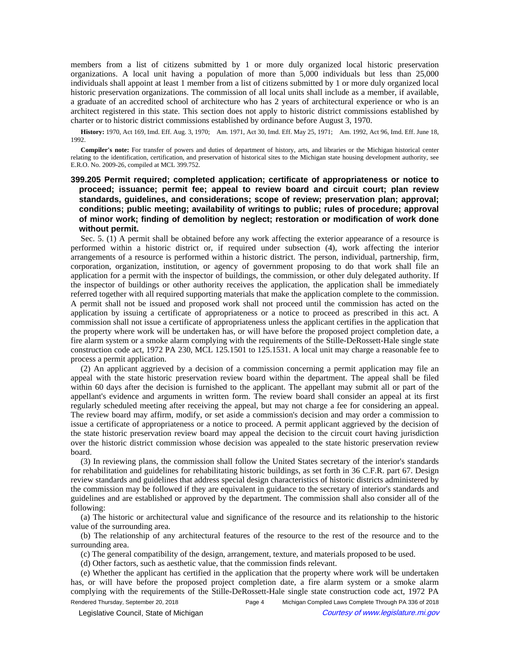members from a list of citizens submitted by 1 or more duly organized local historic preservation organizations. A local unit having a population of more than 5,000 individuals but less than 25,000 individuals shall appoint at least 1 member from a list of citizens submitted by 1 or more duly organized local historic preservation organizations. The commission of all local units shall include as a member, if available, a graduate of an accredited school of architecture who has 2 years of architectural experience or who is an architect registered in this state. This section does not apply to historic district commissions established by charter or to historic district commissions established by ordinance before August 3, 1970.

History: 1970, Act 169, Imd. Eff. Aug. 3, 1970;—Am. 1971, Act 30, Imd. Eff. May 25, 1971;—Am. 1992, Act 96, Imd. Eff. June 18, 1992.

**Compiler's note:** For transfer of powers and duties of department of history, arts, and libraries or the Michigan historical center relating to the identification, certification, and preservation of historical sites to the Michigan state housing development authority, see E.R.O. No. 2009-26, compiled at MCL 399.752.

# **399.205 Permit required; completed application; certificate of appropriateness or notice to proceed; issuance; permit fee; appeal to review board and circuit court; plan review standards, guidelines, and considerations; scope of review; preservation plan; approval; conditions; public meeting; availability of writings to public; rules of procedure; approval of minor work; finding of demolition by neglect; restoration or modification of work done without permit.**

Sec. 5. (1) A permit shall be obtained before any work affecting the exterior appearance of a resource is performed within a historic district or, if required under subsection (4), work affecting the interior arrangements of a resource is performed within a historic district. The person, individual, partnership, firm, corporation, organization, institution, or agency of government proposing to do that work shall file an application for a permit with the inspector of buildings, the commission, or other duly delegated authority. If the inspector of buildings or other authority receives the application, the application shall be immediately referred together with all required supporting materials that make the application complete to the commission. A permit shall not be issued and proposed work shall not proceed until the commission has acted on the application by issuing a certificate of appropriateness or a notice to proceed as prescribed in this act. A commission shall not issue a certificate of appropriateness unless the applicant certifies in the application that the property where work will be undertaken has, or will have before the proposed project completion date, a fire alarm system or a smoke alarm complying with the requirements of the Stille-DeRossett-Hale single state construction code act, 1972 PA 230, MCL 125.1501 to 125.1531. A local unit may charge a reasonable fee to process a permit application.

(2) An applicant aggrieved by a decision of a commission concerning a permit application may file an appeal with the state historic preservation review board within the department. The appeal shall be filed within 60 days after the decision is furnished to the applicant. The appellant may submit all or part of the appellant's evidence and arguments in written form. The review board shall consider an appeal at its first regularly scheduled meeting after receiving the appeal, but may not charge a fee for considering an appeal. The review board may affirm, modify, or set aside a commission's decision and may order a commission to issue a certificate of appropriateness or a notice to proceed. A permit applicant aggrieved by the decision of the state historic preservation review board may appeal the decision to the circuit court having jurisdiction over the historic district commission whose decision was appealed to the state historic preservation review board.

(3) In reviewing plans, the commission shall follow the United States secretary of the interior's standards for rehabilitation and guidelines for rehabilitating historic buildings, as set forth in 36 C.F.R. part 67. Design review standards and guidelines that address special design characteristics of historic districts administered by the commission may be followed if they are equivalent in guidance to the secretary of interior's standards and guidelines and are established or approved by the department. The commission shall also consider all of the following:

(a) The historic or architectural value and significance of the resource and its relationship to the historic value of the surrounding area.

(b) The relationship of any architectural features of the resource to the rest of the resource and to the surrounding area.

(c) The general compatibility of the design, arrangement, texture, and materials proposed to be used.

(d) Other factors, such as aesthetic value, that the commission finds relevant.

(e) Whether the applicant has certified in the application that the property where work will be undertaken has, or will have before the proposed project completion date, a fire alarm system or a smoke alarm complying with the requirements of the Stille-DeRossett-Hale single state construction code act, 1972 PA Rendered Thursday, September 20, 2018 Page 4 Michigan Compiled Laws Complete Through PA 336 of 2018

© Legislative Council, State of Michigan Council Courtesy of www.legislature.mi.gov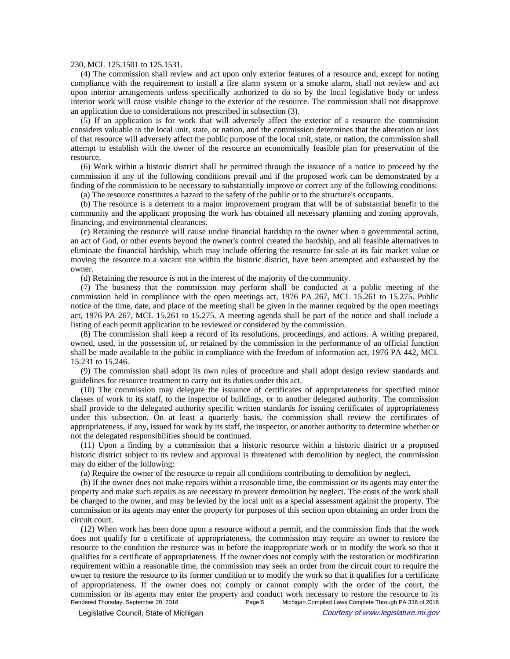### 230, MCL 125.1501 to 125.1531.

(4) The commission shall review and act upon only exterior features of a resource and, except for noting compliance with the requirement to install a fire alarm system or a smoke alarm, shall not review and act upon interior arrangements unless specifically authorized to do so by the local legislative body or unless interior work will cause visible change to the exterior of the resource. The commission shall not disapprove an application due to considerations not prescribed in subsection (3).

(5) If an application is for work that will adversely affect the exterior of a resource the commission considers valuable to the local unit, state, or nation, and the commission determines that the alteration or loss of that resource will adversely affect the public purpose of the local unit, state, or nation, the commission shall attempt to establish with the owner of the resource an economically feasible plan for preservation of the resource.

(6) Work within a historic district shall be permitted through the issuance of a notice to proceed by the commission if any of the following conditions prevail and if the proposed work can be demonstrated by a finding of the commission to be necessary to substantially improve or correct any of the following conditions:

(a) The resource constitutes a hazard to the safety of the public or to the structure's occupants.

(b) The resource is a deterrent to a major improvement program that will be of substantial benefit to the community and the applicant proposing the work has obtained all necessary planning and zoning approvals, financing, and environmental clearances.

(c) Retaining the resource will cause undue financial hardship to the owner when a governmental action, an act of God, or other events beyond the owner's control created the hardship, and all feasible alternatives to eliminate the financial hardship, which may include offering the resource for sale at its fair market value or moving the resource to a vacant site within the historic district, have been attempted and exhausted by the owner.

(d) Retaining the resource is not in the interest of the majority of the community.

(7) The business that the commission may perform shall be conducted at a public meeting of the commission held in compliance with the open meetings act, 1976 PA 267, MCL 15.261 to 15.275. Public notice of the time, date, and place of the meeting shall be given in the manner required by the open meetings act, 1976 PA 267, MCL 15.261 to 15.275. A meeting agenda shall be part of the notice and shall include a listing of each permit application to be reviewed or considered by the commission.

(8) The commission shall keep a record of its resolutions, proceedings, and actions. A writing prepared, owned, used, in the possession of, or retained by the commission in the performance of an official function shall be made available to the public in compliance with the freedom of information act, 1976 PA 442, MCL 15.231 to 15.246.

(9) The commission shall adopt its own rules of procedure and shall adopt design review standards and guidelines for resource treatment to carry out its duties under this act.

(10) The commission may delegate the issuance of certificates of appropriateness for specified minor classes of work to its staff, to the inspector of buildings, or to another delegated authority. The commission shall provide to the delegated authority specific written standards for issuing certificates of appropriateness under this subsection. On at least a quarterly basis, the commission shall review the certificates of appropriateness, if any, issued for work by its staff, the inspector, or another authority to determine whether or not the delegated responsibilities should be continued.

(11) Upon a finding by a commission that a historic resource within a historic district or a proposed historic district subject to its review and approval is threatened with demolition by neglect, the commission may do either of the following:

(a) Require the owner of the resource to repair all conditions contributing to demolition by neglect.

(b) If the owner does not make repairs within a reasonable time, the commission or its agents may enter the property and make such repairs as are necessary to prevent demolition by neglect. The costs of the work shall be charged to the owner, and may be levied by the local unit as a special assessment against the property. The commission or its agents may enter the property for purposes of this section upon obtaining an order from the circuit court.

(12) When work has been done upon a resource without a permit, and the commission finds that the work does not qualify for a certificate of appropriateness, the commission may require an owner to restore the resource to the condition the resource was in before the inappropriate work or to modify the work so that it qualifies for a certificate of appropriateness. If the owner does not comply with the restoration or modification requirement within a reasonable time, the commission may seek an order from the circuit court to require the owner to restore the resource to its former condition or to modify the work so that it qualifies for a certificate of appropriateness. If the owner does not comply or cannot comply with the order of the court, the commission or its agents may enter the property and conduct work necessary to restore the resource to its<br>Rendered Thursday, September 20, 2018<br>Page 5 Michigan Compiled Laws Complete Through PA 336 of 2018 Michigan Compiled Laws Complete Through PA 336 of 2018

© Legislative Council, State of Michigan Council Courtesy of www.legislature.mi.gov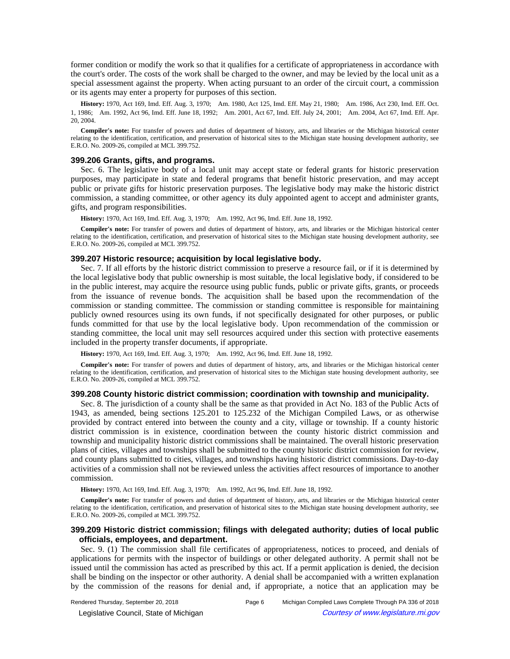former condition or modify the work so that it qualifies for a certificate of appropriateness in accordance with the court's order. The costs of the work shall be charged to the owner, and may be levied by the local unit as a special assessment against the property. When acting pursuant to an order of the circuit court, a commission or its agents may enter a property for purposes of this section.

History: 1970, Act 169, Imd. Eff. Aug. 3, 1970;—Am. 1980, Act 125, Imd. Eff. May 21, 1980;—Am. 1986, Act 230, Imd. Eff. Oct. 1, 1986; Am. 1992, Act 96, Imd. Eff. June 18, 1992; Am. 2001, Act 67, Imd. Eff. July 24, 2001; Am. 2004, Act 67, Imd. Eff. Apr. 20, 2004.

**Compiler's note:** For transfer of powers and duties of department of history, arts, and libraries or the Michigan historical center relating to the identification, certification, and preservation of historical sites to the Michigan state housing development authority, see E.R.O. No. 2009-26, compiled at MCL 399.752.

### **399.206 Grants, gifts, and programs.**

Sec. 6. The legislative body of a local unit may accept state or federal grants for historic preservation purposes, may participate in state and federal programs that benefit historic preservation, and may accept public or private gifts for historic preservation purposes. The legislative body may make the historic district commission, a standing committee, or other agency its duly appointed agent to accept and administer grants, gifts, and program responsibilities.

History: 1970, Act 169, Imd. Eff. Aug. 3, 1970;-- Am. 1992, Act 96, Imd. Eff. June 18, 1992.

**Compiler's note:** For transfer of powers and duties of department of history, arts, and libraries or the Michigan historical center relating to the identification, certification, and preservation of historical sites to the Michigan state housing development authority, see E.R.O. No. 2009-26, compiled at MCL 399.752.

#### **399.207 Historic resource; acquisition by local legislative body.**

Sec. 7. If all efforts by the historic district commission to preserve a resource fail, or if it is determined by the local legislative body that public ownership is most suitable, the local legislative body, if considered to be in the public interest, may acquire the resource using public funds, public or private gifts, grants, or proceeds from the issuance of revenue bonds. The acquisition shall be based upon the recommendation of the commission or standing committee. The commission or standing committee is responsible for maintaining publicly owned resources using its own funds, if not specifically designated for other purposes, or public funds committed for that use by the local legislative body. Upon recommendation of the commission or standing committee, the local unit may sell resources acquired under this section with protective easements included in the property transfer documents, if appropriate.

History: 1970, Act 169, Imd. Eff. Aug. 3, 1970;—Am. 1992, Act 96, Imd. Eff. June 18, 1992.

**Compiler's note:** For transfer of powers and duties of department of history, arts, and libraries or the Michigan historical center relating to the identification, certification, and preservation of historical sites to the Michigan state housing development authority, see E.R.O. No. 2009-26, compiled at MCL 399.752.

### **399.208 County historic district commission; coordination with township and municipality.**

Sec. 8. The jurisdiction of a county shall be the same as that provided in Act No. 183 of the Public Acts of 1943, as amended, being sections 125.201 to 125.232 of the Michigan Compiled Laws, or as otherwise provided by contract entered into between the county and a city, village or township. If a county historic district commission is in existence, coordination between the county historic district commission and township and municipality historic district commissions shall be maintained. The overall historic preservation plans of cities, villages and townships shall be submitted to the county historic district commission for review, and county plans submitted to cities, villages, and townships having historic district commissions. Day-to-day activities of a commission shall not be reviewed unless the activities affect resources of importance to another commission.

History: 1970, Act 169, Imd. Eff. Aug. 3, 1970;-- Am. 1992, Act 96, Imd. Eff. June 18, 1992.

**Compiler's note:** For transfer of powers and duties of department of history, arts, and libraries or the Michigan historical center relating to the identification, certification, and preservation of historical sites to the Michigan state housing development authority, see E.R.O. No. 2009-26, compiled at MCL 399.752.

# **399.209 Historic district commission; filings with delegated authority; duties of local public officials, employees, and department.**

Sec. 9. (1) The commission shall file certificates of appropriateness, notices to proceed, and denials of applications for permits with the inspector of buildings or other delegated authority. A permit shall not be issued until the commission has acted as prescribed by this act. If a permit application is denied, the decision shall be binding on the inspector or other authority. A denial shall be accompanied with a written explanation by the commission of the reasons for denial and, if appropriate, a notice that an application may be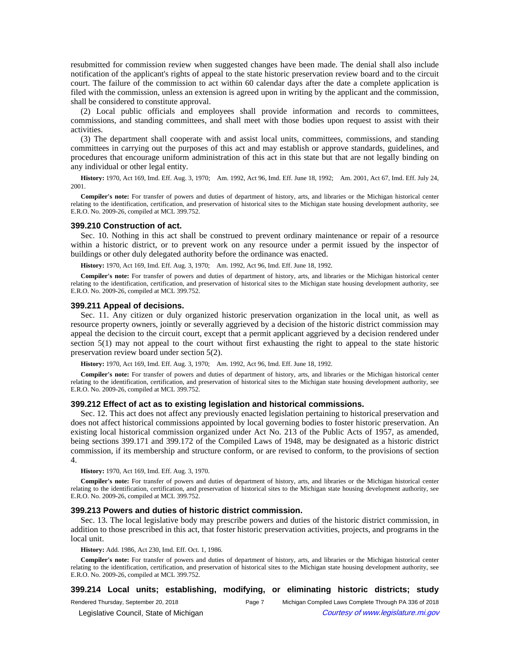resubmitted for commission review when suggested changes have been made. The denial shall also include notification of the applicant's rights of appeal to the state historic preservation review board and to the circuit court. The failure of the commission to act within 60 calendar days after the date a complete application is filed with the commission, unless an extension is agreed upon in writing by the applicant and the commission, shall be considered to constitute approval.

(2) Local public officials and employees shall provide information and records to committees, commissions, and standing committees, and shall meet with those bodies upon request to assist with their activities.

(3) The department shall cooperate with and assist local units, committees, commissions, and standing committees in carrying out the purposes of this act and may establish or approve standards, guidelines, and procedures that encourage uniform administration of this act in this state but that are not legally binding on any individual or other legal entity.

History: 1970, Act 169, Imd. Eff. Aug. 3, 1970;--Am. 1992, Act 96, Imd. Eff. June 18, 1992;--Am. 2001, Act 67, Imd. Eff. July 24, 2001.

**Compiler's note:** For transfer of powers and duties of department of history, arts, and libraries or the Michigan historical center relating to the identification, certification, and preservation of historical sites to the Michigan state housing development authority, see E.R.O. No. 2009-26, compiled at MCL 399.752.

### **399.210 Construction of act.**

Sec. 10. Nothing in this act shall be construed to prevent ordinary maintenance or repair of a resource within a historic district, or to prevent work on any resource under a permit issued by the inspector of buildings or other duly delegated authority before the ordinance was enacted.

History: 1970, Act 169, Imd. Eff. Aug. 3, 1970;-- Am. 1992, Act 96, Imd. Eff. June 18, 1992.

**Compiler's note:** For transfer of powers and duties of department of history, arts, and libraries or the Michigan historical center relating to the identification, certification, and preservation of historical sites to the Michigan state housing development authority, see E.R.O. No. 2009-26, compiled at MCL 399.752.

### **399.211 Appeal of decisions.**

Sec. 11. Any citizen or duly organized historic preservation organization in the local unit, as well as resource property owners, jointly or severally aggrieved by a decision of the historic district commission may appeal the decision to the circuit court, except that a permit applicant aggrieved by a decision rendered under section 5(1) may not appeal to the court without first exhausting the right to appeal to the state historic preservation review board under section 5(2).

**History:** 1970, Act 169, Imd. Eff. Aug. 3, 1970;—Am. 1992, Act 96, Imd. Eff. June 18, 1992.

**Compiler's note:** For transfer of powers and duties of department of history, arts, and libraries or the Michigan historical center relating to the identification, certification, and preservation of historical sites to the Michigan state housing development authority, see E.R.O. No. 2009-26, compiled at MCL 399.752.

### **399.212 Effect of act as to existing legislation and historical commissions.**

Sec. 12. This act does not affect any previously enacted legislation pertaining to historical preservation and does not affect historical commissions appointed by local governing bodies to foster historic preservation. An existing local historical commission organized under Act No. 213 of the Public Acts of 1957, as amended, being sections 399.171 and 399.172 of the Compiled Laws of 1948, may be designated as a historic district commission, if its membership and structure conform, or are revised to conform, to the provisions of section 4.

**History:** 1970, Act 169, Imd. Eff. Aug. 3, 1970.

**Compiler's note:** For transfer of powers and duties of department of history, arts, and libraries or the Michigan historical center relating to the identification, certification, and preservation of historical sites to the Michigan state housing development authority, see E.R.O. No. 2009-26, compiled at MCL 399.752.

#### **399.213 Powers and duties of historic district commission.**

Sec. 13. The local legislative body may prescribe powers and duties of the historic district commission, in addition to those prescribed in this act, that foster historic preservation activities, projects, and programs in the local unit.

**History:** Add. 1986, Act 230, Imd. Eff. Oct. 1, 1986.

**Compiler's note:** For transfer of powers and duties of department of history, arts, and libraries or the Michigan historical center relating to the identification, certification, and preservation of historical sites to the Michigan state housing development authority, see E.R.O. No. 2009-26, compiled at MCL 399.752.

**399.214 Local units; establishing, modifying, or eliminating historic districts; study**

Rendered Thursday, September 20, 2018 **Page 7** Michigan Compiled Laws Complete Through PA 336 of 2018

© Legislative Council, State of Michigan Council Courtesy of www.legislature.mi.gov